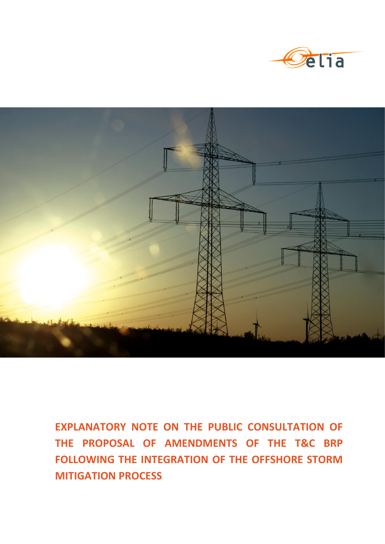



**EXPLANATORY NOTE ON THE PUBLIC CONSULTATION OF THE PROPOSAL OF AMENDMENTS OF THE T&C BRP FOLLOWING THE INTEGRATION OF THE OFFSHORE STORM MITIGATION PROCESS**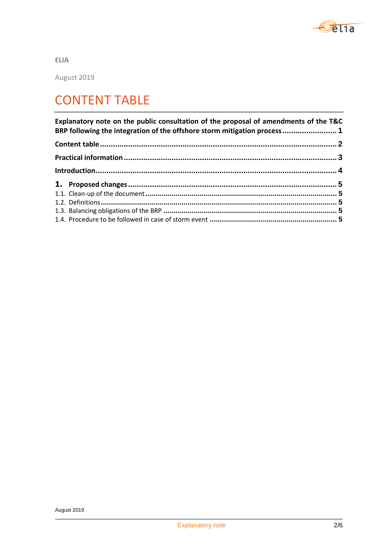

**ELIA**

August 2019

## CONTENT TABLE

| Explanatory note on the public consultation of the proposal of amendments of the T&C<br>BRP following the integration of the offshore storm mitigation process 1 |  |
|------------------------------------------------------------------------------------------------------------------------------------------------------------------|--|
|                                                                                                                                                                  |  |
|                                                                                                                                                                  |  |
|                                                                                                                                                                  |  |
|                                                                                                                                                                  |  |
|                                                                                                                                                                  |  |
|                                                                                                                                                                  |  |
|                                                                                                                                                                  |  |
|                                                                                                                                                                  |  |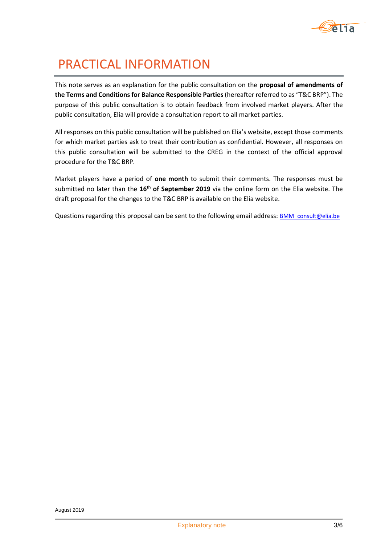

# PRACTICAL INFORMATION

This note serves as an explanation for the public consultation on the **proposal of amendments of the Terms and Conditions for Balance Responsible Parties** (hereafter referred to as "T&C BRP"). The purpose of this public consultation is to obtain feedback from involved market players. After the public consultation, Elia will provide a consultation report to all market parties.

All responses on this public consultation will be published on Elia's website, except those comments for which market parties ask to treat their contribution as confidential. However, all responses on this public consultation will be submitted to the CREG in the context of the official approval procedure for the T&C BRP.

Market players have a period of **one month** to submit their comments. The responses must be submitted no later than the **16th of September 2019** via the online form on the Elia website. The draft proposal for the changes to the T&C BRP is available on the Elia website.

Questions regarding this proposal can be sent to the following email address: **[BMM\\_consult@elia.be](mailto:BMM_consult@elia.be)**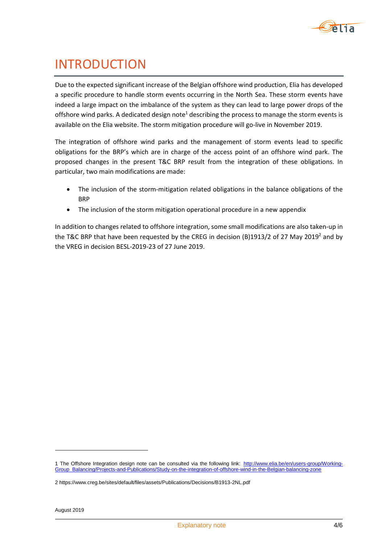

### INTRODUCTION

Due to the expected significant increase of the Belgian offshore wind production, Elia has developed a specific procedure to handle storm events occurring in the North Sea. These storm events have indeed a large impact on the imbalance of the system as they can lead to large power drops of the offshore wind parks. A dedicated design note<sup>1</sup> describing the process to manage the storm events is available on the Elia website. The storm mitigation procedure will go-live in November 2019.

The integration of offshore wind parks and the management of storm events lead to specific obligations for the BRP's which are in charge of the access point of an offshore wind park. The proposed changes in the present T&C BRP result from the integration of these obligations. In particular, two main modifications are made:

- The inclusion of the storm-mitigation related obligations in the balance obligations of the BRP
- The inclusion of the storm mitigation operational procedure in a new appendix

In addition to changes related to offshore integration, some small modifications are also taken-up in the T&C BRP that have been requested by the CREG in decision (B)1913/2 of 27 May 2019<sup>2</sup> and by the VREG in decision BESL-2019-23 of 27 June 2019.

1

<sup>1</sup> The Offshore Integration design note can be consulted via the following link: [http://www.elia.be/en/users-group/Working-](http://www.elia.be/en/users-group/Working-Group_Balancing/Projects-and-Publications/Study-on-the-integration-of-offshore-wind-in-the-Belgian-balancing-zone)[Group\\_Balancing/Projects-and-Publications/Study-on-the-integration-of-offshore-wind-in-the-Belgian-balancing-zone](http://www.elia.be/en/users-group/Working-Group_Balancing/Projects-and-Publications/Study-on-the-integration-of-offshore-wind-in-the-Belgian-balancing-zone)

<sup>2</sup> https://www.creg.be/sites/default/files/assets/Publications/Decisions/B1913-2NL.pdf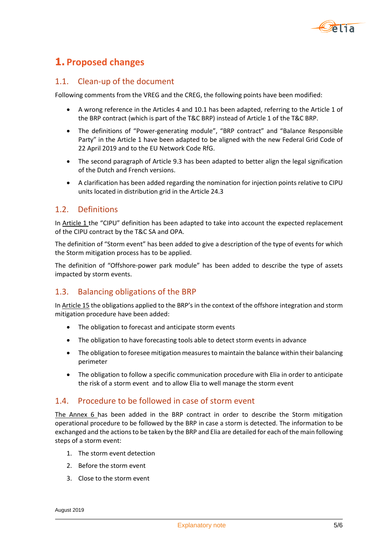

### **1. Proposed changes**

#### 1.1. Clean-up of the document

Following comments from the VREG and the CREG, the following points have been modified:

- A wrong reference in the Articles 4 and 10.1 has been adapted, referring to the Article 1 of the BRP contract (which is part of the T&C BRP) instead of Article 1 of the T&C BRP.
- The definitions of "Power-generating module", "BRP contract" and "Balance Responsible Party" in the Article 1 have been adapted to be aligned with the new Federal Grid Code of 22 April 2019 and to the EU Network Code RfG.
- The second paragraph of Article 9.3 has been adapted to better align the legal signification of the Dutch and French versions.
- A clarification has been added regarding the nomination for injection points relative to CIPU units located in distribution grid in the Article 24.3

#### 1.2. Definitions

In Article 1 the "CIPU" definition has been adapted to take into account the expected replacement of the CIPU contract by the T&C SA and OPA.

The definition of "Storm event" has been added to give a description of the type of events for which the Storm mitigation process has to be applied.

The definition of "Offshore-power park module" has been added to describe the type of assets impacted by storm events.

#### 1.3. Balancing obligations of the BRP

In Article 15 the obligations applied to the BRP's in the context of the offshore integration and storm mitigation procedure have been added:

- The obligation to forecast and anticipate storm events
- The obligation to have forecasting tools able to detect storm events in advance
- The obligation to foresee mitigation measures to maintain the balance within their balancing perimeter
- The obligation to follow a specific communication procedure with Elia in order to anticipate the risk of a storm event and to allow Elia to well manage the storm event

#### 1.4. Procedure to be followed in case of storm event

The Annex 6 has been added in the BRP contract in order to describe the Storm mitigation operational procedure to be followed by the BRP in case a storm is detected. The information to be exchanged and the actions to be taken by the BRP and Elia are detailed for each of the main following steps of a storm event:

- 1. The storm event detection
- 2. Before the storm event
- 3. Close to the storm event